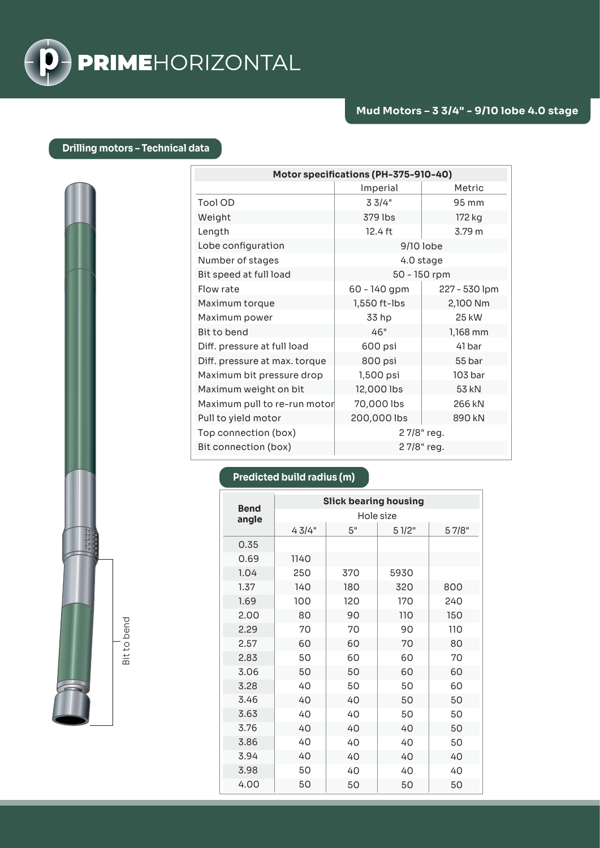

## **Drilling motors – Technical data**

| Motor specifications (PH-375-910-40) |              |               |  |  |  |
|--------------------------------------|--------------|---------------|--|--|--|
|                                      | Imperial     | Metric        |  |  |  |
| Tool OD                              | 33/4"        | 95 mm         |  |  |  |
| Weight                               | 379 lbs      | 172 kg        |  |  |  |
| Length                               | 12.4 ft      | 3.79 m        |  |  |  |
| Lobe configuration                   | 9/10 lobe    |               |  |  |  |
| Number of stages                     | 4.0 stage    |               |  |  |  |
| Bit speed at full load               | 50 - 150 rpm |               |  |  |  |
| Flow rate                            | 60 - 140 gpm | 227 - 530 lpm |  |  |  |
| Maximum torque                       | 1,550 ft-lbs | 2,100 Nm      |  |  |  |
| Maximum power                        | 33 hp        | 25 kW         |  |  |  |
| Bit to bend                          | 46"          | 1,168 mm      |  |  |  |
| Diff. pressure at full load          | 600 psi      | 41 bar        |  |  |  |
| Diff. pressure at max. torque        | 800 psi      | 55 bar        |  |  |  |
| Maximum bit pressure drop            | 1,500 psi    | 103 bar       |  |  |  |
| Maximum weight on bit                | 12,000 lbs   | 53 kN         |  |  |  |
| Maximum pull to re-run motor         | 70,000 lbs   | 266 kN        |  |  |  |
| Pull to yield motor                  | 200,000 lbs  | 890 kN        |  |  |  |
| Top connection (box)                 | 27/8" reg.   |               |  |  |  |
| Bit connection (box)                 | 27/8" reg.   |               |  |  |  |

## **Predicted build radius (m)**

| <b>Bend</b> | <b>Slick bearing housing</b> |     |       |       |  |
|-------------|------------------------------|-----|-------|-------|--|
| angle       | Hole size                    |     |       |       |  |
|             | 43/4"                        | 5"  | 51/2" | 57/8" |  |
| 0.35        |                              |     |       |       |  |
| 0.69        | 1140                         |     |       |       |  |
| 1.04        | 250                          | 370 | 5930  |       |  |
| 1.37        | 140                          | 180 | 320   | 800   |  |
| 1.69        | 100                          | 120 | 170   | 240   |  |
| 2.00        | 80                           | 90  | 110   | 150   |  |
| 2.29        | 70                           | 70  | 90    | 110   |  |
| 2.57        | 60                           | 60  | 70    | 80    |  |
| 2.83        | 50                           | 60  | 60    | 70    |  |
| 3.06        | 50                           | 50  | 60    | 60    |  |
| 3.28        | 40                           | 50  | 50    | 60    |  |
| 3.46        | 40                           | 40  | 50    | 50    |  |
| 3.63        | 40                           | 40  | 50    | 50    |  |
| 3.76        | 40                           | 40  | 40    | 50    |  |
| 3.86        | 40                           | 40  | 40    | 50    |  |
| 3.94        | 40                           | 40  | 40    | 40    |  |
| 3.98        | 50                           | 40  | 40    | 40    |  |
| 4.00        | 50                           | 50  | 50    | 50    |  |

Bit to bend Bit to bend